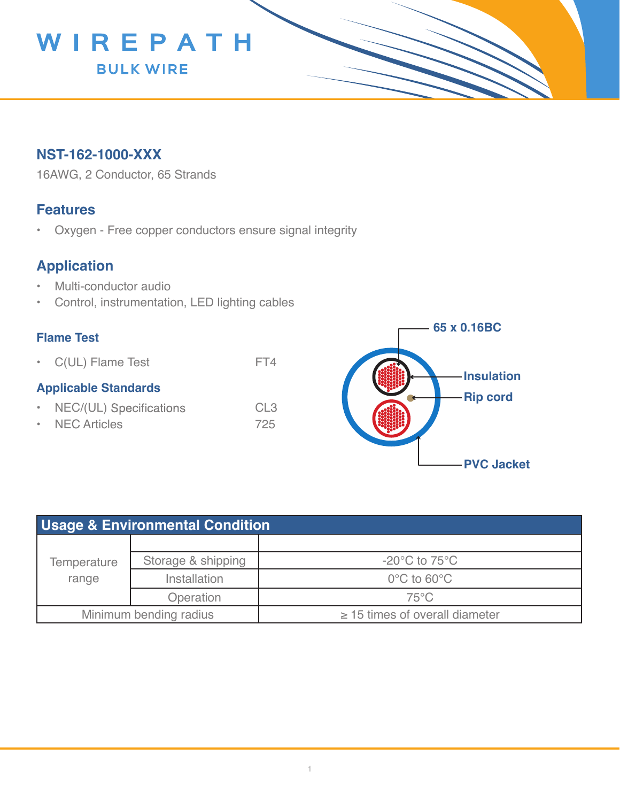

## **NST-162-1000-XXX**

16AWG, 2 Conductor, 65 Strands

### **Features**

• Oxygen - Free copper conductors ensure signal integrity

# **Application**

- Multi-conductor audio
- Control, instrumentation, LED lighting cables

#### **Flame Test**

• C(UL) Flame Test FT4

#### **Applicable Standards**

- NEC/(UL) Specifications CL3
- NEC Articles 725



| <b>Usage &amp; Environmental Condition</b> |                    |                                     |  |  |
|--------------------------------------------|--------------------|-------------------------------------|--|--|
| Temperature<br>range                       |                    |                                     |  |  |
|                                            | Storage & shipping | $-20^{\circ}$ C to 75 $^{\circ}$ C  |  |  |
|                                            | Installation       | $0^{\circ}$ C to 60 $^{\circ}$ C    |  |  |
|                                            | Operation          | $75^{\circ}$ C                      |  |  |
| Minimum bending radius                     |                    | $\geq$ 15 times of overall diameter |  |  |